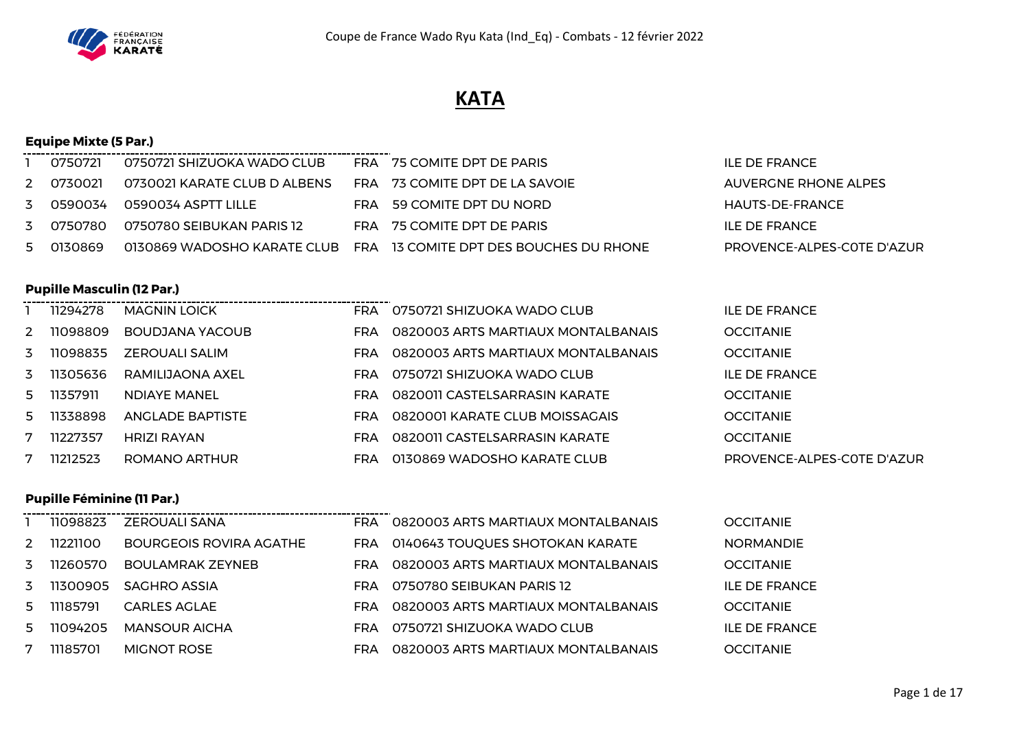

# **KATA**

## **Equipe Mixte (5 Par.)**

| 0750721   | 0750721 SHIZUOKA WADO CLUB |                                                                                  | FRA 75 COMITE DPT DE PARIS | ILE DE FRANCE                                                                                                                                                   |
|-----------|----------------------------|----------------------------------------------------------------------------------|----------------------------|-----------------------------------------------------------------------------------------------------------------------------------------------------------------|
| 2 0730021 |                            |                                                                                  |                            | AUVERGNE RHONE ALPES                                                                                                                                            |
| 3 0590034 |                            |                                                                                  |                            | HAUTS-DE-FRANCE                                                                                                                                                 |
| 3 0750780 |                            |                                                                                  |                            | ILE DE FRANCE                                                                                                                                                   |
| 5 0130869 |                            |                                                                                  |                            | PROVENCE-ALPES-COTE D'AZUR                                                                                                                                      |
|           |                            | 0730021 KARATE CLUB D ALBENS<br>0590034 ASPTT LILLE<br>0750780 SEIBUKAN PARIS 12 |                            | FRA 73 COMITE DPT DE LA SAVOIE<br>FRA 59 COMITE DPT DU NORD<br>FRA 75 COMITE DPT DE PARIS<br>0130869 WADOSHO KARATE CLUB FRA 13 COMITE DPT DES BOUCHES DU RHONE |

## **Pupille Masculin (12 Par.)**

|   | 11294278 | <b>MAGNIN LOICK</b>     | <b>FRA</b> | 0750721 SHIZUOKA WADO CLUB         | <b>ILE DE FRANCE</b>       |
|---|----------|-------------------------|------------|------------------------------------|----------------------------|
| 2 | 11098809 | BOUDJANA YACOUB         | <b>FRA</b> | 0820003 ARTS MARTIAUX MONTALBANAIS | <b>OCCITANIE</b>           |
| 3 | 11098835 | ZEROUALI SALIM          | FRA.       | 0820003 ARTS MARTIAUX MONTALBANAIS | <b>OCCITANIE</b>           |
| 3 | 11305636 | RAMILIJAONA AXEL        | <b>FRA</b> | 0750721 SHIZUOKA WADO CLUB         | <b>ILE DE FRANCE</b>       |
| 5 | 11357911 | NDIAYE MANEL            | <b>FRA</b> | 0820011 CASTELSARRASIN KARATE      | <b>OCCITANIE</b>           |
| 5 | 11338898 | <b>ANGLADE BAPTISTE</b> | <b>FRA</b> | 0820001 KARATE CLUB MOISSAGAIS     | <b>OCCITANIE</b>           |
| 7 | 11227357 | HRIZI RAYAN             | FRA        | 0820011 CASTELSARRASIN KARATE      | <b>OCCITANIE</b>           |
|   | 11212523 | ROMANO ARTHUR           | FRA        | 0130869 WADOSHO KARATE CLUB        | PROVENCE-ALPES-COTE D'AZUR |

## **Pupille Féminine (11 Par.)**

|    | 11098823 | ZEROUALI SANA           | FRA  | 0820003 ARTS MARTIAUX MONTALBANAIS  | <b>OCCITANIE</b>     |
|----|----------|-------------------------|------|-------------------------------------|----------------------|
|    | 11221100 | BOURGEOIS ROVIRA AGATHE |      | FRA 0140643 TOUQUES SHOTOKAN KARATE | <b>NORMANDIE</b>     |
| 3  | 11260570 | <b>BOULAMRAK ZEYNEB</b> | FRA  | 0820003 ARTS MARTIAUX MONTALBANAIS  | <b>OCCITANIE</b>     |
| 3  | 11300905 | SAGHRO ASSIA            | FRA  | 0750780 SEIBUKAN PARIS 12           | <b>ILE DE FRANCE</b> |
| 5. | 11185791 | <b>CARLES AGLAE</b>     | FRA. | 0820003 ARTS MARTIAUX MONTALBANAIS  | <b>OCCITANIE</b>     |
| 5. | 11094205 | MANSOUR AICHA           | FRA. | 0750721 SHIZUOKA WADO CLUB          | ILE DE FRANCE        |
|    | 11185701 | <b>MIGNOT ROSE</b>      | FRA  | 0820003 ARTS MARTIAUX MONTALBANAIS  | <b>OCCITANIE</b>     |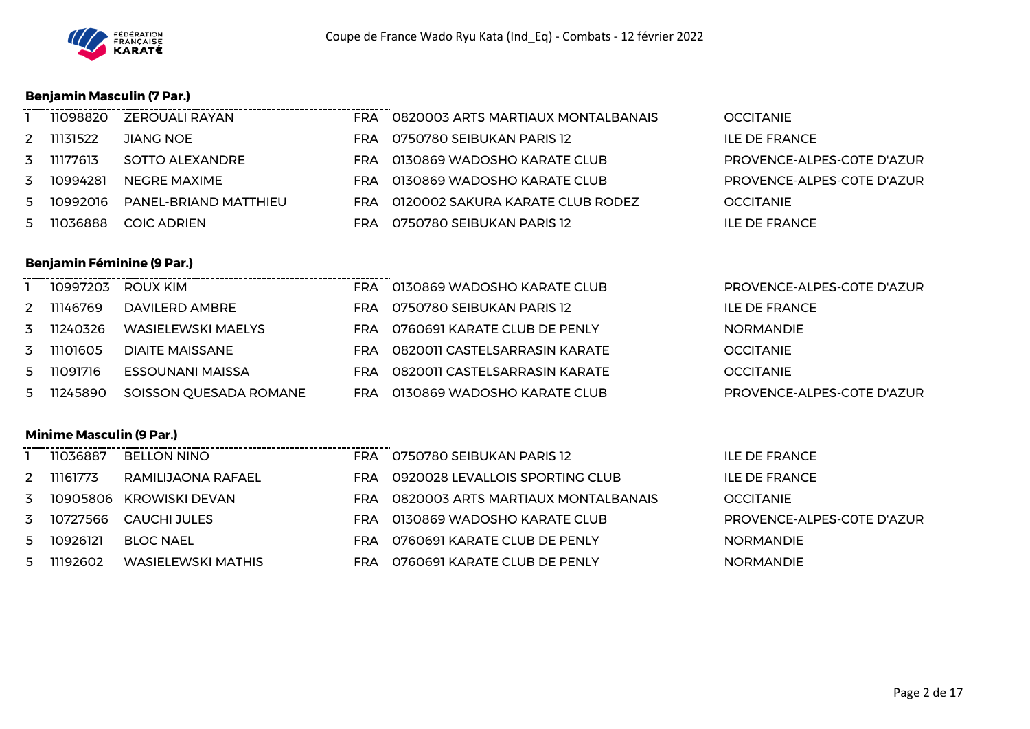

## **Benjamin Masculin (7 Par.)**

**Benjamin Féminine (9 Par.)**

|   | 11098820 | ZEROUALI RAYAN        | <b>FRA</b> | 0820003 ARTS MARTIAUX MONTALBANAIS | <b>OCCITANIE</b>           |
|---|----------|-----------------------|------------|------------------------------------|----------------------------|
| 2 | 11131522 | JIANG NOE             | FRA        | 0750780 SEIBUKAN PARIS 12          | <b>ILE DE FRANCE</b>       |
| 3 | 11177613 | SOTTO ALEXANDRE       | FRA.       | 0130869 WADOSHO KARATE CLUB        | PROVENCE-ALPES-COTE D'AZUR |
| 3 | 10994281 | NEGRE MAXIME          | FRA        | 0130869 WADOSHO KARATE CLUB        | PROVENCE-ALPES-COTE D'AZUR |
| 5 | 10992016 | PANEL-BRIAND MATTHIEU | FRA        | 0120002 SAKURA KARATE CLUB RODEZ   | <b>OCCITANIE</b>           |
| 5 | 11036888 | <b>COIC ADRIEN</b>    | FRA        | 0750780 SEIBUKAN PARIS 12          | ILE DE FRANCE              |

## ------------- 10997203 ROUX KIM FRA 0130869 WADOSHO KARATE CLUB PROVENCE-ALPES-C0TE D'AZUR 2 11146769 DAVILERD AMBRE FRA 0750780 SEIBUKAN PARIS 12 11240326 WASIELEWSKI MAELYS FRA 0760691 KARATE CLUB DE PENLY NORMANDIE 11101605 DIAITE MAISSANE FRA 0820011 CASTELSARRASIN KARATE OCCITANIE 11091716 ESSOUNANI MAISSA FRA 0820011 CASTELSARRASIN KARATE OCCITANIE 11245890 SOISSON QUESADA ROMANE FRA 0130869 WADOSHO KARATE CLUB PROVENCE-ALPES-C0TE D'AZUR

## **Minime Masculin (9 Par.)**

|             | 11036887 | <b>BELLON NINO</b>      | <b>FRA</b> | 0750780 SEIBUKAN PARIS 12          | <b>ILE DE FRANCE</b>       |
|-------------|----------|-------------------------|------------|------------------------------------|----------------------------|
| $2^{\circ}$ | 11161773 | RAMILIJAONA RAFAEL      | <b>FRA</b> | 0920028 LEVALLOIS SPORTING CLUB    | <b>ILE DE FRANCE</b>       |
| 3           |          | 10905806 KROWISKI DEVAN | FRA        | 0820003 ARTS MARTIAUX MONTALBANAIS | <b>OCCITANIE</b>           |
| 3           | 10727566 | CAUCHI JULES            | FRA        | 0130869 WADOSHO KARATE CLUB        | PROVENCE-ALPES-COTE D'AZUR |
| 5           | 10926121 | BLOC NAEL               | FRA        | 0760691 KARATE CLUB DE PENLY       | <b>NORMANDIE</b>           |
| 5           | 11192602 | WASIELEWSKI MATHIS      | FRA.       | 0760691 KARATE CLUB DE PENLY       | <b>NORMANDIE</b>           |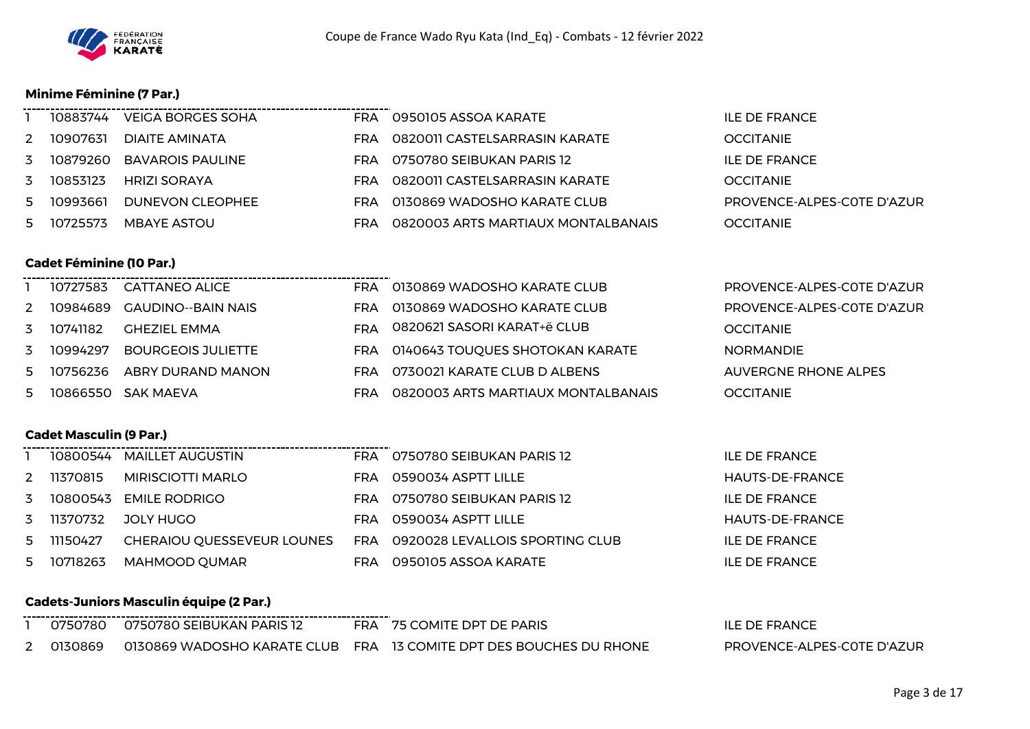

#### **Minime Féminine (7 Par.)**

|   | 10883744 | VEIGA BORGES SOHA   | FRA  | 0950105 ASSOA KARATE               | ILE DE FRANCE              |
|---|----------|---------------------|------|------------------------------------|----------------------------|
| 2 | 10907631 | DIAITE AMINATA      | FRA  | 0820011 CASTELSARRASIN KARATE      | <b>OCCITANIE</b>           |
| 3 | 10879260 | BAVAROIS PAULINE    | FRA  | 0750780 SEIBUKAN PARIS 12          | ILE DE FRANCE              |
| 3 | 10853123 | <b>HRIZI SORAYA</b> | FRA  | 0820011 CASTELSARRASIN KARATE      | <b>OCCITANIE</b>           |
| 5 | 10993661 | DUNEVON CLEOPHEE    | FRA. | 0130869 WADOSHO KARATE CLUB        | PROVENCE-ALPES-COTE D'AZUR |
| 5 | 10725573 | MBAYE ASTOU         | FRA  | 0820003 ARTS MARTIAUX MONTALBANAIS | <b>OCCITANIE</b>           |

## **Cadet Féminine (10 Par.)** --------------------------------- 10727583 CATTANEO ALICE FRA 0130869 WADOSHO KARATE CLUB PROVENCE-ALPES-C0TE D'AZUR 10984689 GAUDINO--BAIN NAIS FRA 0130869 WADOSHO KARATE CLUB PROVENCE-ALPES-C0TE D'AZUR 10741182 GHEZIEL EMMA FRA 0820621 SASORI KARAT+ë CLUB OCCITANIE 10994297 BOURGEOIS JULIETTE FRA 0140643 TOUQUES SHOTOKAN KARATE NORMANDIE 5 10756236 ABRY DURAND MANON FRA 0730021 KARATE CLUB D ALBENS AUVERGNE RHONE ALPES 5 10866550 SAK MAEVA FRA 0820003 ARTS MARTIAUX MONTALBANAIS OCCITANIE

#### **Cadet Masculin (9 Par.)**

|   |            | 10800544 MAILLET AUGUSTIN  | <b>FRA</b> | 0750780 SEIBUKAN PARIS 12           | ILE DE FRANCE        |
|---|------------|----------------------------|------------|-------------------------------------|----------------------|
| 2 | 11370815   | MIRISCIOTTI MARLO          | FRA        | 0590034 ASPTT LILLE                 | HAUTS-DE-FRANCE      |
| 3 |            | 10800543 EMILE RODRIGO     | FRA.       | 0750780 SEIBUKAN PARIS 12           | ILE DE FRANCE        |
|   | 3 11370732 | JOLY HUGO                  | FRA        | 0590034 ASPTT LILLE                 | HAUTS-DE-FRANCE      |
|   | 5 11150427 | CHERAIOU OUESSEVEUR LOUNES |            | FRA 0920028 LEVALLOIS SPORTING CLUB | ILE DE FRANCE        |
| 5 | 10718263   | MAHMOOD QUMAR              | <b>FRA</b> | 0950105 ASSOA KARATE                | <b>ILE DE FRANCE</b> |

#### **Cadets-Juniors Masculin équipe (2 Par.)**

|                          | 0750780 | 0750780 SEIBUKAN PARIS 12   |     | 75 COMITE DPT DE PARIS               | F DE FRANCE<br>ILE         |
|--------------------------|---------|-----------------------------|-----|--------------------------------------|----------------------------|
| $\overline{\phantom{0}}$ |         | 0130869 WADOSHO KARATE CLUB | FRA | . 13 COMITE DPT DES BOUCHES DU RHONE | PROVENCE-ALPES-COTE D'AZUR |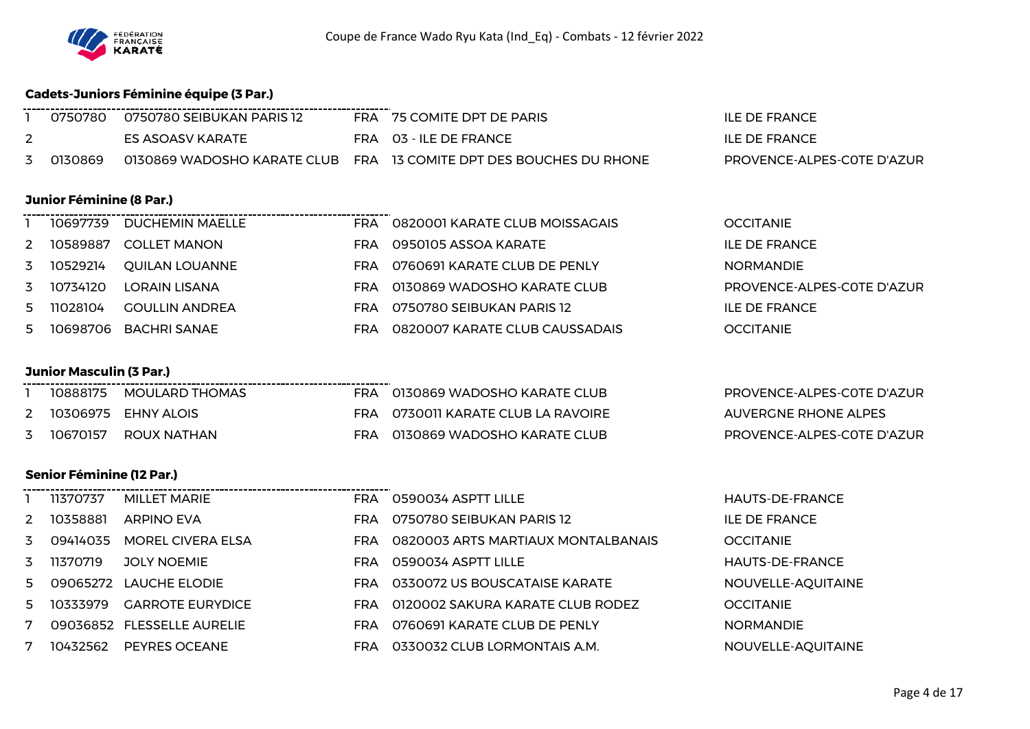

## **Cadets-Juniors Féminine équipe (3 Par.)**

|              | 0750780 | - 0750780 SEIBUKAN PARIS 12 | FRA 75 COMITE DPT DE PARIS                                         | <b>ILE DE FRANCE</b>       |
|--------------|---------|-----------------------------|--------------------------------------------------------------------|----------------------------|
|              |         | ES ASOASV KARATE            | FRA 03 - ILE DE FRANCE                                             | <b>ILE DE FRANCE</b>       |
| $\mathbf{z}$ | 0130869 |                             | 0130869 WADOSHO KARATE CLUB FRA 13 COMITE DPT DES BOUCHES DU RHONE | PROVENCE-ALPES-COTE D'AZUR |

#### **Junior Féminine (8 Par.)**

|   | 10697739 | DUCHEMIN MAELLE        |     | FRA 0820001 KARATE CLUB MOISSAGAIS | <b>OCCITANIE</b>           |
|---|----------|------------------------|-----|------------------------------------|----------------------------|
| 2 |          | 10589887 COLLET MANON  |     | FRA 0950105 ASSOA KARATE           | ILE DE FRANCE              |
| 3 | 10529214 | OUILAN LOUANNE         | FRA | 0760691 KARATE CLUB DE PENLY       | <b>NORMANDIE</b>           |
| 3 | 10734120 | LORAIN LISANA          | FRA | 0130869 WADOSHO KARATE CLUB        | PROVENCE-ALPES-COTE D'AZUR |
| 5 | 11028104 | <b>GOULLIN ANDREA</b>  |     | FRA 0750780 SEIBUKAN PARIS 12      | ILE DE FRANCE              |
|   |          | 5 10698706 BACHRISANAE | FRA | 0820007 KARATE CLUB CAUSSADAIS     | <b>OCCITANIE</b>           |

## **Junior Masculin (3 Par.)**

|  | 1 10888175 MOULARD THOMAS | FRA 0130869 WADOSHO   |
|--|---------------------------|-----------------------|
|  | 2 10306975 EHNY ALOIS     | FRA 0730011 KARATE CL |
|  | 3 10670157 ROUX NATHAN    | FRA 0130869 WADOSHO   |
|  |                           |                       |

-----------------

## **Senior Féminine (12 Par.)**

|               | 11370737 | MILLET MARIE               |
|---------------|----------|----------------------------|
| $\mathcal{P}$ | 10358881 | <b>ARPINO EVA</b>          |
| 3             | 09414035 | MOREL CIVERA ELSA          |
| 3             | 11370719 | <b>JOLY NOEMIE</b>         |
| 5             |          | 09065272 LAUCHE ELODIE     |
| 5             |          | 10333979 GARROTE EURYDICE  |
| 7             |          | 09036852 FLESSELLE AURELIE |
| 7             |          | 10432562 PEYRES OCEANE     |

| RA     0130869 WADOSHO KARATE CLUB  |
|-------------------------------------|
| RA - 0730011 KARATE CLUB LA RAVOIRE |
| RA     0130869 WADOSHO KARATE CLUB  |

PROVENCE-ALPES-COTE D'AZUR AUVERGNE RHONE ALPES PROVENCE-ALPES-COTE D'AZUR

|   | 11370737     | MILLET MARIE                | FRA 0590034 ASPTT LILLE                | <b>HAUTS-DE-FRANCE</b> |
|---|--------------|-----------------------------|----------------------------------------|------------------------|
|   | 2 10358881   | <b>ARPINO EVA</b>           | FRA 0750780 SEIBUKAN PARIS 12          | <b>ILE DE FRANCE</b>   |
|   | 3 09414035   | <b>MOREL CIVERA ELSA</b>    | FRA 0820003 ARTS MARTIAUX MONTALBANAIS | <b>OCCITANIE</b>       |
|   | 3 11370719   | <b>JOLY NOEMIE</b>          | FRA 0590034 ASPTT LILLE                | <b>HAUTS-DE-FRANCE</b> |
|   | 5   09065272 | <b>LAUCHE ELODIE</b>        | FRA 0330072 US BOUSCATAISE KARATE      | NOUVELLE-AQUITAINE     |
|   |              | 5 10333979 GARROTE EURYDICE | FRA 0120002 SAKURA KARATE CLUB RODEZ   | <b>OCCITANIE</b>       |
| 7 |              | 09036852 FLESSELLE AURELIE  | FRA 0760691 KARATE CLUB DE PENLY       | <b>NORMANDIE</b>       |
| 7 | 10432562     | PEYRES OCEANE               | FRA 0330032 CLUB LORMONTAIS A.M.       | NOUVELLE-AQUITAINE     |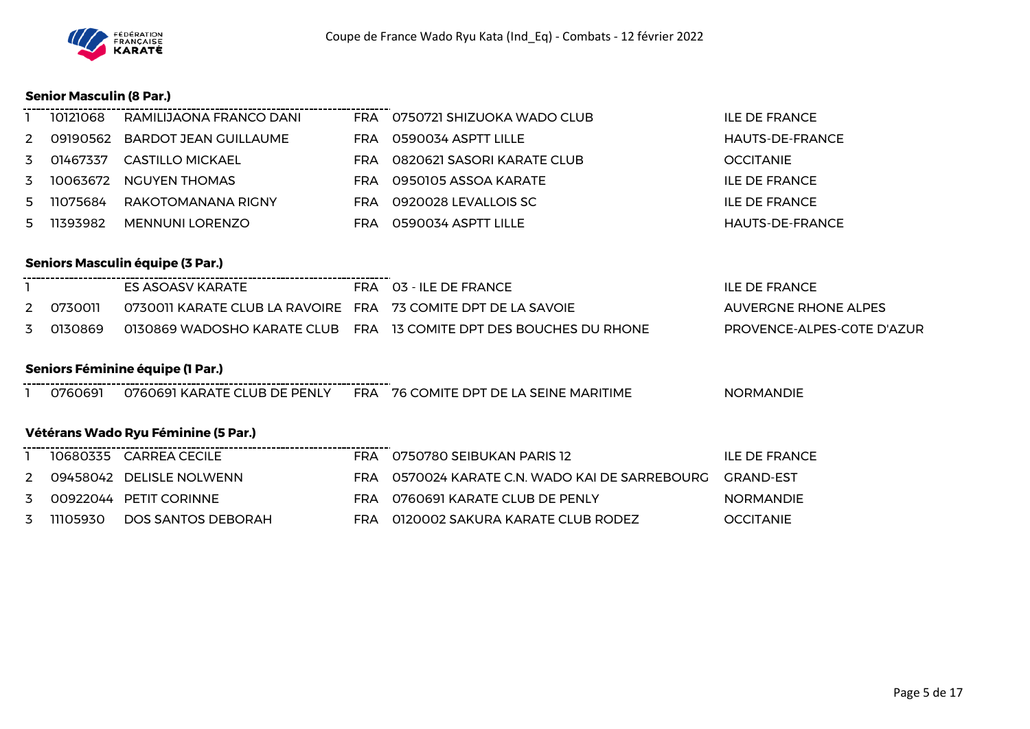

## **Senior Masculin (8 Par.)**

|    | 10121068 | RAMILIJAONA FRANCO DANI        | FRA  | 0750721 SHIZUOKA WADO CLUB | ILE DE FRANCE    |
|----|----------|--------------------------------|------|----------------------------|------------------|
| 2  |          | 09190562 BARDOT JEAN GUILLAUME | FRA  | 0590034 ASPTT LILLE        | HAUTS-DE-FRANCE  |
| 3  | 01467337 | CASTILLO MICKAEL               | FRA  | 0820621 SASORI KARATE CLUB | <b>OCCITANIE</b> |
| 3  |          | 10063672 NGUYEN THOMAS         | FRA  | 0950105 ASSOA KARATE       | ILE DE FRANCE    |
| 5. | 11075684 | RAKOTOMANANA RIGNY             | FRA. | 0920028 LEVALLOIS SC       | ILE DE FRANCE    |
| 5. | 11393982 | <b>MENNUNI LORENZO</b>         | FRA. | 0590034 ASPTT LILLE        | HAUTS-DE-FRANCE  |

## **Seniors Masculin équipe (3 Par.)**

|           | ES ASOASV KARATE                                              | FRA 03 - ILE DE FRANCE                                             | ILE DE FRANCE              |
|-----------|---------------------------------------------------------------|--------------------------------------------------------------------|----------------------------|
| 2 0730011 | 0730011 KARATE CLUB LA RAVOIRE FRA 73 COMITE DPT DE LA SAVOIE |                                                                    | AUVERGNE RHONE ALPES       |
| 3 0130869 |                                                               | 0130869 WADOSHO KARATE CLUB FRA 13 COMITE DPT DES BOUCHES DU RHONE | PROVENCE-ALPES-COTE D'AZUR |

#### **Seniors Féminine équipe (1 Par.)**

0760691 0760691 KARATE CLUB DE PENLY FRA 76 COMITE DPT DE LA SEINE MARITIME NORMANDIE

## **Vétérans Wado Ryu Féminine (5 Par.)**

|   |          | 10680335 CARREA CECILE   |     | FRA 0750780 SEIBUKAN PARIS 12                        | ILE DE FRANCE    |
|---|----------|--------------------------|-----|------------------------------------------------------|------------------|
| 2 |          | 09458042 DELISLE NOLWENN | FRA | 0570024 KARATE C.N. WADO KAI DE SARREBOURG GRAND-EST |                  |
| 3 |          | 00922044 PETIT CORINNE   | FRA | 0760691 KARATE CLUB DE PENLY                         | <b>NORMANDIE</b> |
| 3 | 11105930 | DOS SANTOS DEBORAH       |     | FRA 0120002 SAKURA KARATE CLUB RODEZ                 | <b>OCCITANIE</b> |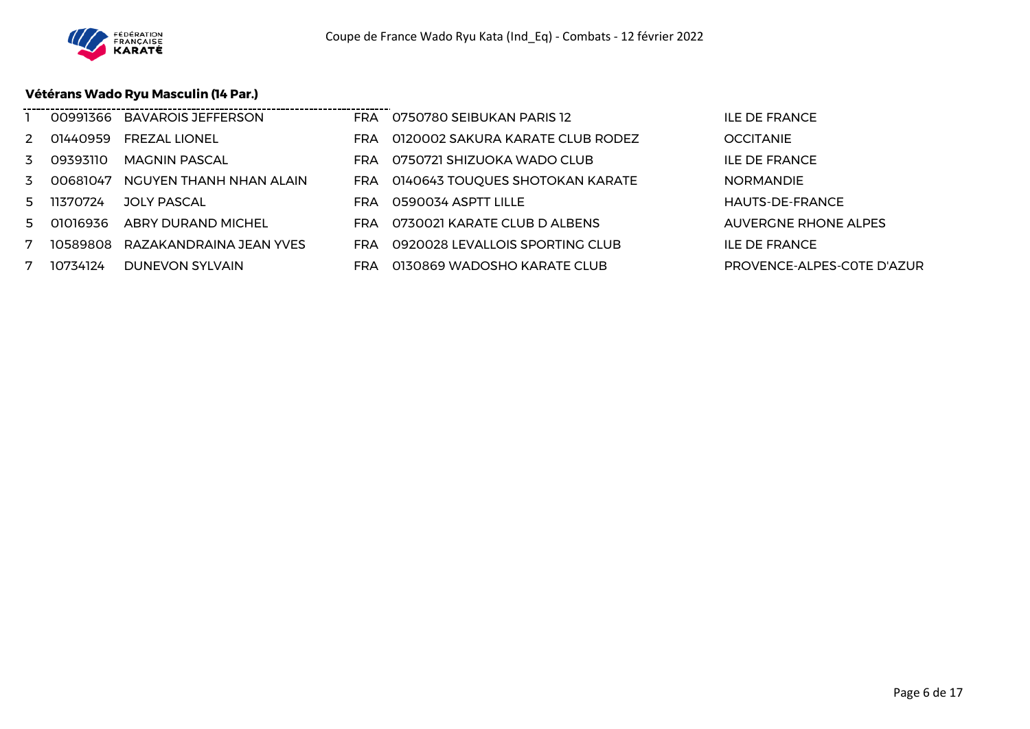

## **Vétérans Wado Ryu Masculin (14 Par.)**

|    | 00991366 | <b>BAVAROIS JEFFERSON</b> |            | FRA 0750780 SEIBUKAN PARIS 12       | <b>ILE DE FRANCE</b>        |
|----|----------|---------------------------|------------|-------------------------------------|-----------------------------|
| 2  | 01440959 | <b>FREZAL LIONEL</b>      | FRA.       | 0120002 SAKURA KARATE CLUB RODEZ    | <b>OCCITANIE</b>            |
| 3  | 09393110 | MAGNIN PASCAL             | FRA.       | 0750721 SHIZUOKA WADO CLUB          | <b>ILE DE FRANCE</b>        |
| 3  | 00681047 | NGUYEN THANH NHAN ALAIN   |            | FRA 0140643 TOUQUES SHOTOKAN KARATE | <b>NORMANDIE</b>            |
| 5. | 11370724 | JOLY PASCAL               | FRA        | 0590034 ASPTT LILLE                 | HAUTS-DE-FRANCE             |
| 5  | 01016936 | <b>ABRY DURAND MICHEL</b> | <b>FRA</b> | 0730021 KARATE CLUB D ALBENS        | <b>AUVERGNE RHONE ALPES</b> |
|    | 10589808 | RAZAKANDRAINA JEAN YVES   | FRA        | 0920028 LEVALLOIS SPORTING CLUB     | <b>ILE DE FRANCE</b>        |
|    | 10734124 | <b>DUNEVON SYLVAIN</b>    | <b>FRA</b> | 0130869 WADOSHO KARATE CLUB         | PROVENCE-ALPES-COTE D'AZUR  |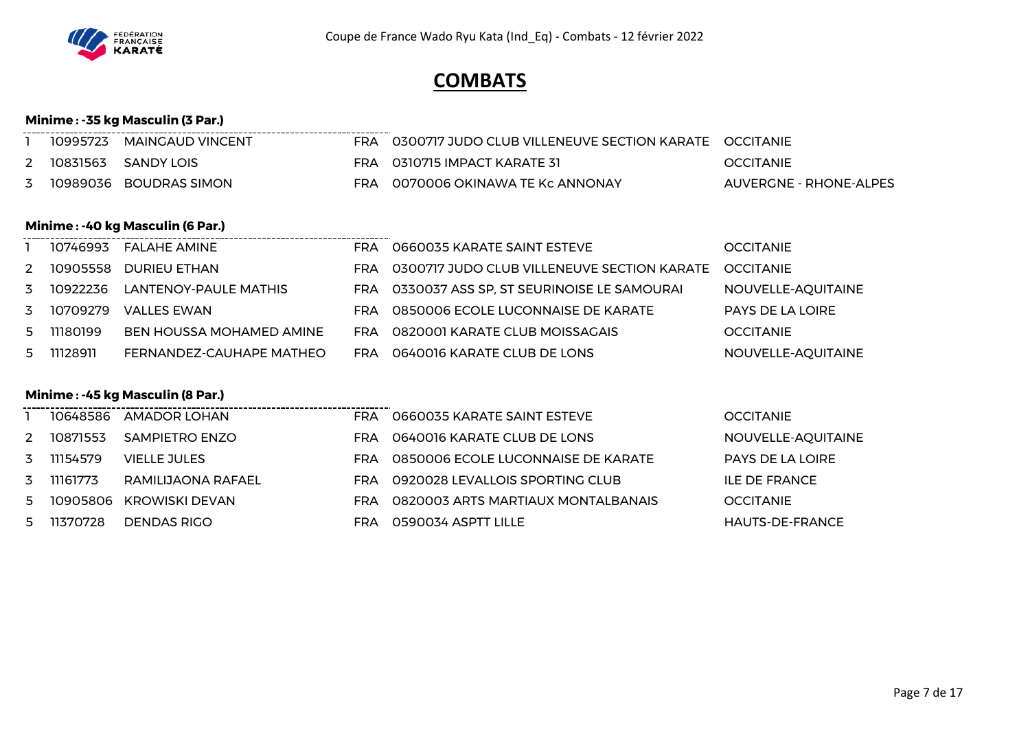

# **COMBATS**

## **Minime : -35 kg Masculin (3 Par.)**

|          | 10995723 MAINGAUD VINCENT |     | O300717 JUDO CLUB VILLENEUVE SECTION KARATE OCCITANIE |                        |
|----------|---------------------------|-----|-------------------------------------------------------|------------------------|
| 10831563 | SANDY LOIS                | FRA | 0310715 IMPACT KARATE 31                              | <b>OCCITANIE</b>       |
|          | 10989036 BOUDRAS SIMON    |     | 0070006 OKINAWA TE Kc ANNONAY                         | AUVERGNE - RHONE-ALPES |

## **Minime : -40 kg Masculin (6 Par.)**

|   | 10746993   | FALAHE AMINE                    | <b>FRA</b> | 0660035 KARATE SAINT ESTEVE                 | <b>OCCITANIE</b>        |
|---|------------|---------------------------------|------------|---------------------------------------------|-------------------------|
| 2 | 10905558   | DURIEU ETHAN                    | FRA        | 0300717 JUDO CLUB VILLENEUVE SECTION KARATE | <b>OCCITANIE</b>        |
| 3 | 10922236   | LANTENOY-PAULE MATHIS           | FRA        | 0330037 ASS SP, ST SEURINOISE LE SAMOURAI   | NOUVELLE-AQUITAINE      |
|   | 3 10709279 | VALLES EWAN                     | FRA        | 0850006 ECOLE LUCONNAISE DE KARATE          | <b>PAYS DE LA LOIRE</b> |
|   | 5 11180199 | <b>BEN HOUSSA MOHAMED AMINE</b> | <b>FRA</b> | 0820001 KARATE CLUB MOISSAGAIS              | <b>OCCITANIE</b>        |
|   | 5 11128911 | FERNANDEZ-CAUHAPE MATHEO        | <b>FRA</b> | 0640016 KARATE CLUB DE LONS                 | NOUVELLE-AQUITAINE      |

## **Minime : -45 kg Masculin (8 Par.)**

|    | 10648586 | AMADOR LOHAN            | <b>FRA</b> | 0660035 KARATE SAINT ESTEVE        | <b>OCCITANIE</b>       |
|----|----------|-------------------------|------------|------------------------------------|------------------------|
| 2  | 10871553 | SAMPIETRO ENZO          | FRA.       | 0640016 KARATE CLUB DE LONS        | NOUVELLE-AQUITAINE     |
| 3  | 11154579 | VIELLE JULES            | FRA        | 0850006 ECOLE LUCONNAISE DE KARATE | PAYS DE LA LOIRE       |
| 3  | 11161773 | RAMILIJAONA RAFAEL      | FRA        | 0920028 LEVALLOIS SPORTING CLUB    | ILE DE FRANCE          |
| 5. |          | 10905806 KROWISKI DEVAN | <b>FRA</b> | 0820003 ARTS MARTIAUX MONTALBANAIS | <b>OCCITANIE</b>       |
| 5  | 11370728 | DENDAS RIGO             | FRA        | 0590034 ASPTT LILLE                | <b>HAUTS-DE-FRANCE</b> |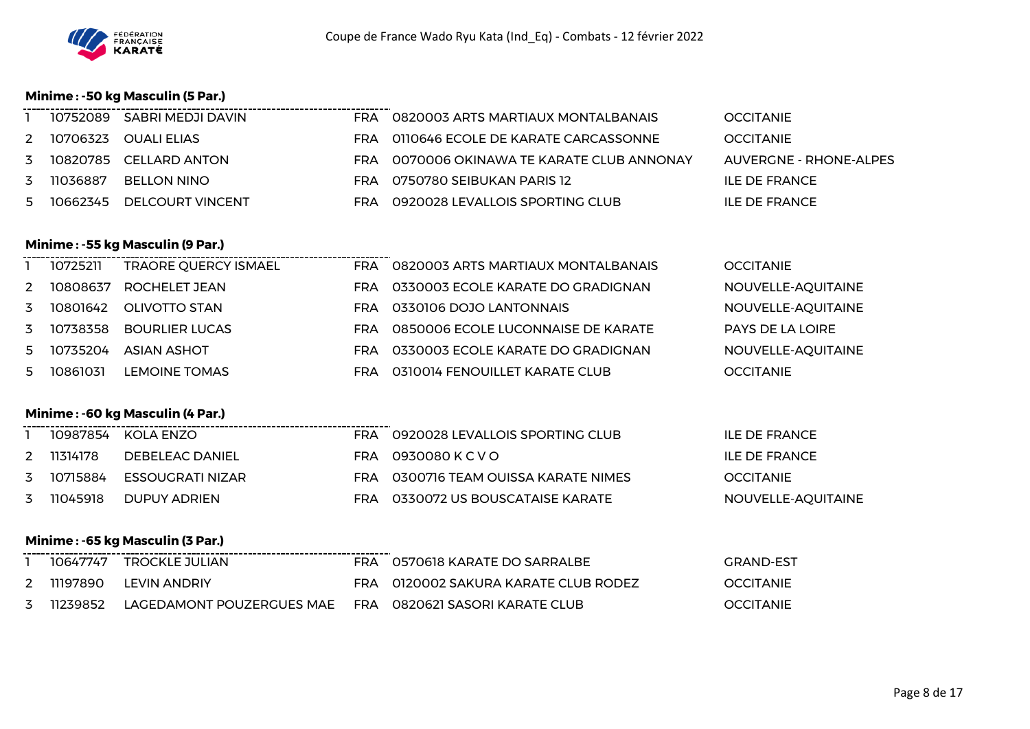

## **Minime : -50 kg Masculin (5 Par.)**

|   | 10752089 SABRI MEDJI DAVIN | FRA 0820003 ARTS MARTIAUX MONTALBANAIS     | <b>OCCITANIE</b>       |
|---|----------------------------|--------------------------------------------|------------------------|
|   | 2 10706323 OUALI ELIAS     | FRA 0110646 ECOLE DE KARATE CARCASSONNE    | <b>OCCITANIE</b>       |
|   | 3 10820785 CELLARD ANTON   | FRA OO70006 OKINAWA TE KARATE CLUB ANNONAY | AUVERGNE - RHONE-ALPES |
| 3 | 11036887 BELLON NINO       | FRA 0750780 SEIBUKAN PARIS 12              | ILE DE FRANCE          |
| 5 | 10662345 DELCOURT VINCENT  | FRA 0920028 LEVALLOIS SPORTING CLUB        | ILE DE FRANCE          |

## **Minime : -55 kg Masculin (9 Par.)**

|               | 10725211 | <b>TRAORE QUERCY ISMAEL</b> | <b>FRA</b> | 0820003 ARTS MARTIAUX MONTALBANAIS | <b>OCCITANIE</b>        |
|---------------|----------|-----------------------------|------------|------------------------------------|-------------------------|
| $\mathcal{P}$ | 10808637 | ROCHELET JEAN               | <b>FRA</b> | 0330003 ECOLE KARATE DO GRADIGNAN  | NOUVELLE-AQUITAINE      |
| 3             | 10801642 | OLIVOTTO STAN               | <b>FRA</b> | 0330106 DOJO LANTONNAIS            | NOUVELLE-AQUITAINE      |
|               | 10738358 | <b>BOURLIER LUCAS</b>       | <b>FRA</b> | 0850006 ECOLE LUCONNAISE DE KARATE | <b>PAYS DE LA LOIRE</b> |
| 5.            | 10735204 | <b>ASIAN ASHOT</b>          | <b>FRA</b> | 0330003 ECOLE KARATE DO GRADIGNAN  | NOUVELLE-AQUITAINE      |
| 5             | 10861031 | <b>LEMOINE TOMAS</b>        | FRA        | 0310014 FENOUILLET KARATE CLUB     | <b>OCCITANIE</b>        |

## **Minime : -60 kg Masculin (4 Par.)**

|   |          | 10987854 KOLA ENZO          | FRA. | 0920028 LEVALLOIS SPORTING CLUB      | ILE DE FRANCE      |
|---|----------|-----------------------------|------|--------------------------------------|--------------------|
| 2 | 11314178 | DEBELEAC DANIEL             |      | FRA 0930080KCVO                      | ILE DE FRANCE      |
|   |          | 3 10715884 ESSOUGRATI NIZAR |      | FRA 0300716 TEAM OUISSA KARATE NIMES | <b>OCCITANIE</b>   |
| 3 | 11045918 | DUPUY ADRIEN                | FRA  | 0330072 US BOUSCATAISE KARATE        | NOUVELLE-AQUITAINE |

## **Minime : -65 kg Masculin (3 Par.)**

|  | 10647747 TROCKLE JULIAN                                                   | FRA 0570618 KARATE DO SARRALBE       | GRAND-EST        |
|--|---------------------------------------------------------------------------|--------------------------------------|------------------|
|  | 2 11197890 LEVIN ANDRIY                                                   | FRA 0120002 SAKURA KARATE CLUB RODEZ | <b>OCCITANIE</b> |
|  | 3  11239852   LAGEDAMONT POUZERGUES MAE   FRA  0820621 SASORI KARATE CLUB |                                      | <b>OCCITANIE</b> |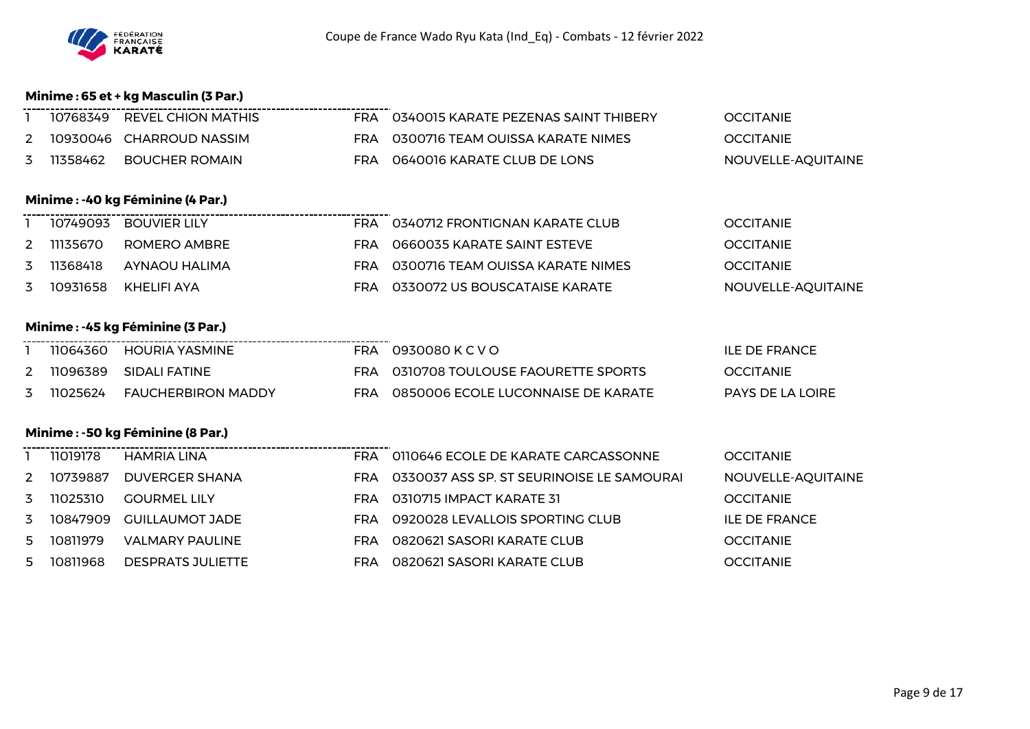

## **Minime : 65 et + kg Masculin (3 Par.)**

|   | 10768349 REVEL CHION MATHIS |     | FRA 0340015 KARATE PEZENAS SAINT THIBERY | <b>OCCITANIE</b>   |
|---|-----------------------------|-----|------------------------------------------|--------------------|
|   | 2 10930046 CHARROUD NASSIM  |     | FRA 0300716 TEAM OUISSA KARATE NIMES     | <b>OCCITANIE</b>   |
| 3 | 11358462 BOUCHER ROMAIN     | FRA | 0640016 KARATE CLUB DE LONS              | NOUVELLE-AQUITAINE |

#### **Minime : -40 kg Féminine (4 Par.)**

|          | 10749093 BOUVIER LILY | FRA | 0340712 FRONTIGNAN KARATE CLUB   | <b>OCCITANIE</b>   |
|----------|-----------------------|-----|----------------------------------|--------------------|
| 11135670 | ROMERO AMBRE          | FRA | 0660035 KARATE SAINT ESTEVE      | <b>OCCITANIE</b>   |
| 11368418 | AYNAOU HALIMA         | FRA | 0300716 TEAM OUISSA KARATE NIMES | <b>OCCITANIE</b>   |
| 10931658 | KHELIFI AYA           | FRA | 0330072 US BOUSCATAISE KARATE    | NOUVELLE-AOUITAINE |

# **Minime : -45 kg Féminine (3 Par.)**

| 11064360 | HOURIA YASMINE            | FRA | 0930080 K C V O                    | <b>ILE DE FRANCE</b> |
|----------|---------------------------|-----|------------------------------------|----------------------|
| 11096389 | SIDALI FATINE             |     | 0310708 TOULOUSE FAOURETTE SPORTS  | <b>OCCITANIE</b>     |
| 11025624 | <b>FAUCHERBIRON MADDY</b> | FRA | 0850006 ECOLE LUCONNAISE DE KARATE | PAYS DE LA LOIRE     |

## **Minime : -50 kg Féminine (8 Par.)**

|    | 11019178 | HAMRIA LINA         | FRA        | 0110646 ECOLE DE KARATE CARCASSONNE       | <b>OCCITANIE</b>   |
|----|----------|---------------------|------------|-------------------------------------------|--------------------|
| 2  | 10739887 | DUVERGER SHANA      | <b>FRA</b> | 0330037 ASS SP. ST SEURINOISE LE SAMOURAI | NOUVELLE-AQUITAINE |
| 3  | 11025310 | <b>GOURMEL LILY</b> | <b>FRA</b> | 0310715 IMPACT KARATE 31                  | <b>OCCITANIE</b>   |
| 3  | 10847909 | GUILLAUMOT JADE     | <b>FRA</b> | 0920028 LEVALLOIS SPORTING CLUB           | ILE DE FRANCE      |
| 5. | 10811979 | VALMARY PAULINE     | FRA        | 0820621 SASORI KARATE CLUB                | <b>OCCITANIE</b>   |
| 5. | 10811968 | DESPRATS JULIETTE   | FRA        | 0820621 SASORI KARATE CLUB                | <b>OCCITANIE</b>   |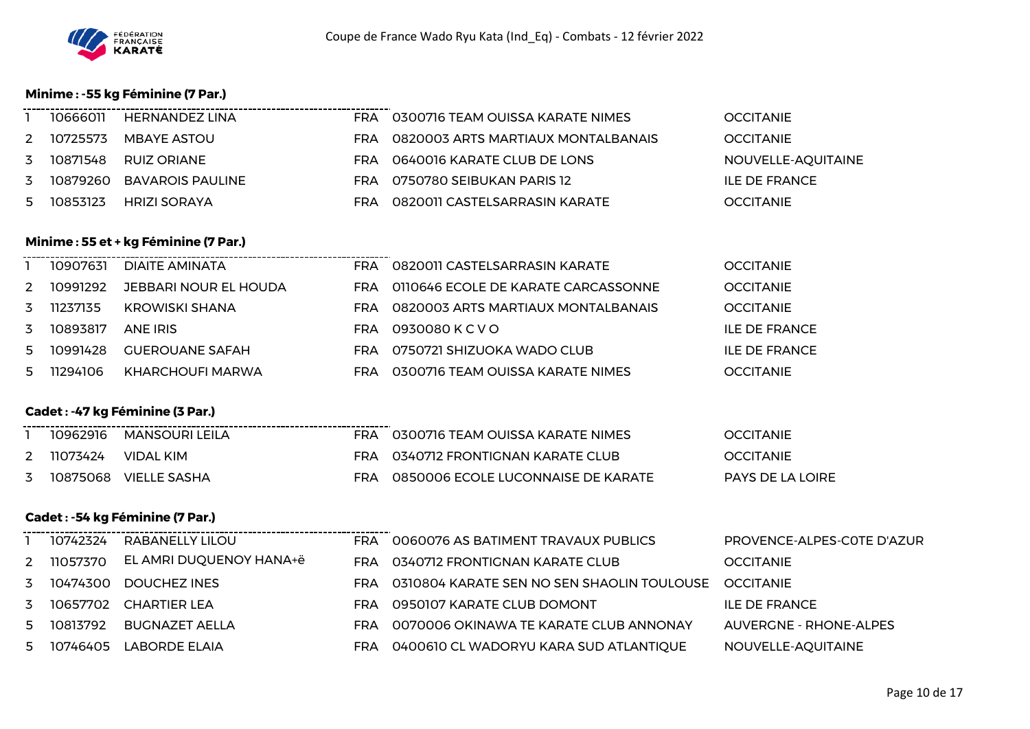

## **Minime : -55 kg Féminine (7 Par.)**

|   | 10666011 | HERNANDEZ LINA            | <b>FRA</b> | 0300716 TEAM OUISSA KARATE NIMES   | <b>OCCITANIE</b>   |
|---|----------|---------------------------|------------|------------------------------------|--------------------|
| 2 | 10725573 | MBAYE ASTOU               | FRA.       | 0820003 ARTS MARTIAUX MONTALBANAIS | <b>OCCITANIE</b>   |
| 3 | 10871548 | RUIZ ORIANE               | FRA.       | 0640016 KARATE CLUB DE LONS        | NOUVELLE-AQUITAINE |
| 3 |          | 10879260 BAVAROIS PAULINE | FRA.       | 0750780 SEIBUKAN PARIS 12          | ILE DE FRANCE      |
| 5 | 10853123 | HRIZI SORAYA              | FRA        | 0820011 CASTELSARRASIN KARATE      | <b>OCCITANIE</b>   |

### **Minime : 55 et + kg Féminine (7 Par.)**

|               | 10907631 | DIAITE AMINATA         | FRA  | 0820011 CASTELSARRASIN KARATE       | <b>OCCITANIE</b> |
|---------------|----------|------------------------|------|-------------------------------------|------------------|
| $\mathcal{P}$ | 10991292 | JEBBARI NOUR EL HOUDA  | FRA  | 0110646 ECOLE DE KARATE CARCASSONNE | <b>OCCITANIE</b> |
|               | 11237135 | KROWISKI SHANA         | FRA. | 0820003 ARTS MARTIAUX MONTALBANAIS  | <b>OCCITANIE</b> |
|               | 10893817 | ANE IRIS               | FRA  | 0930080 K C V O                     | ILE DE FRANCE    |
| 5.            | 10991428 | <b>GUEROUANE SAFAH</b> | FRA  | 0750721 SHIZUOKA WADO CLUB          | ILE DE FRANCE    |
| 5.            | 11294106 | KHARCHOUFI MARWA       | FRA  | 0300716 TEAM OUISSA KARATE NIMES    | <b>OCCITANIE</b> |

\_\_\_\_\_\_\_\_\_\_\_\_\_\_\_\_\_\_\_\_\_\_

#### **Cadet : -47 kg Féminine (3 Par.)**

|   | 10962916   | MANSOURI LEILA        | FRA 0300716 TEAM OUISSA KARATE NIMES   | <b>OCCITANIE</b>        |
|---|------------|-----------------------|----------------------------------------|-------------------------|
|   | 2 11073424 | VIDAI KIM             | FRA 0340712 FRONTIGNAN KARATE CLUB     | <b>OCCITANIE</b>        |
| 3 |            | 10875068 VIELLE SASHA | FRA 0850006 ECOLE LUCONNAISE DE KARATE | <b>PAYS DE LA LOIRE</b> |

## **Cadet : -54 kg Féminine (7 Par.)**

|   | 10742324 | RABANELLY LILOU         | <b>FRA</b> | 0060076 AS BATIMENT TRAVAUX PUBLICS        | PROVENCE-ALPES-COTE D'AZUR |
|---|----------|-------------------------|------------|--------------------------------------------|----------------------------|
| 2 | 11057370 | EL AMRI DUQUENOY HANA+ë | FRA        | 0340712 FRONTIGNAN KARATE CLUB             | <b>OCCITANIE</b>           |
| 3 | 10474300 | DOUCHEZ INES            | FRA        | 0310804 KARATE SEN NO SEN SHAOLIN TOULOUSE | <b>OCCITANIE</b>           |
| 3 |          | 10657702 CHARTIER LEA   | <b>FRA</b> | 0950107 KARATE CLUB DOMONT                 | ILE DE FRANCE              |
| 5 | 10813792 | BUGNAZET AELLA          | FRA        | 0070006 OKINAWA TE KARATE CLUB ANNONAY     | AUVERGNE - RHONE-ALPES     |
| 5 | 10746405 | LABORDE ELAIA           | <b>FRA</b> | 0400610 CL WADORYU KARA SUD ATLANTIQUE     | NOUVELLE-AQUITAINE         |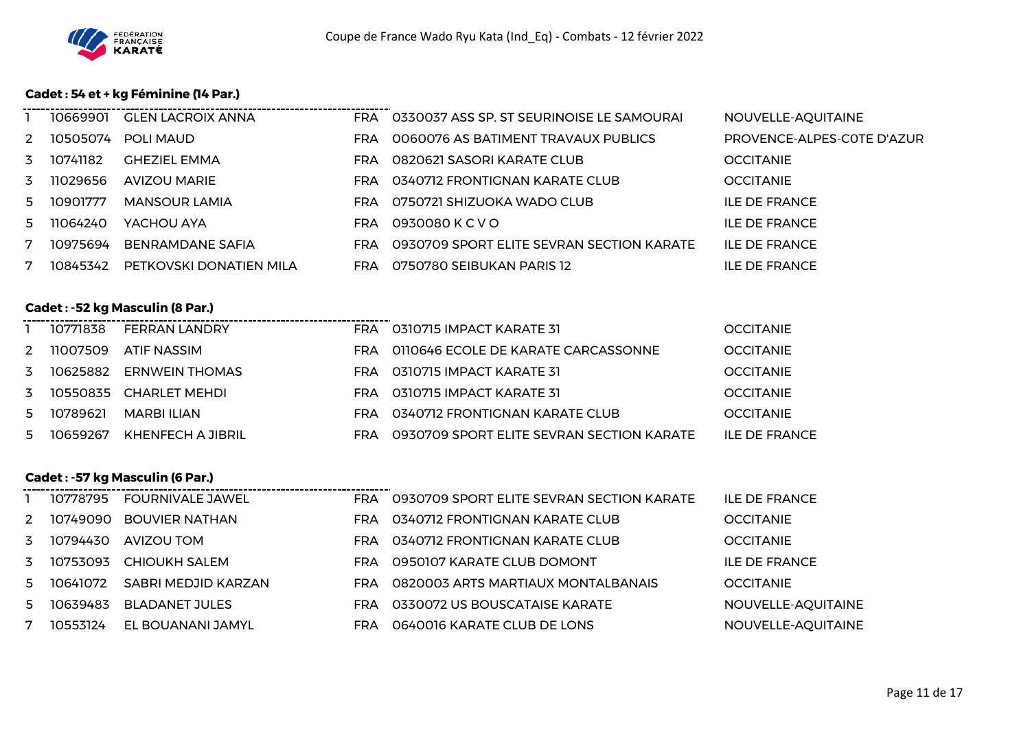

## **Cadet : 54 et + kg Féminine (14 Par.)**

|              |            | 10669901 GLEN LACROIX ANNA |            | FRA 0330037 ASS SP. ST SEURINOISE LE SAMOURAI | NOUVELLE-AQUITAINE         |
|--------------|------------|----------------------------|------------|-----------------------------------------------|----------------------------|
| 2            |            | 10505074 POLLMAUD          | FRA        | 0060076 AS BATIMENT TRAVAUX PUBLICS           | PROVENCE-ALPES-COTE D'AZUR |
|              | 3 10741182 | <b>GHEZIEL EMMA</b>        | FRA        | 0820621 SASORI KARATE CLUB                    | <b>OCCITANIE</b>           |
| $\mathbf{3}$ | 11029656   | <b>AVIZOU MARIE</b>        | FRA        | 0340712 FRONTIGNAN KARATE CLUB                | <b>OCCITANIE</b>           |
|              | 5 10901777 | MANSOUR LAMIA              | <b>FRA</b> | 0750721 SHIZUOKA WADO CLUB                    | <b>ILE DE FRANCE</b>       |
| 5            | 11064240   | YACHOU AYA                 | FRA        | 0930080 K C V O                               | <b>ILE DE FRANCE</b>       |
| 7            | 10975694   | <b>BENRAMDANE SAFIA</b>    | FRA        | 0930709 SPORT ELITE SEVRAN SECTION KARATE     | ILE DE FRANCE              |
| 7            | 10845342   | PETKOVSKI DONATIEN MILA    | FRA        | 0750780 SEIBUKAN PARIS 12                     | <b>ILE DE FRANCE</b>       |

## **Cadet : -52 kg Masculin (8 Par.)**

|   | 10771838   | <b>FERRAN LANDRY</b>      | FRA 0310715 IMPACT KARATE 31                  | <b>OCCITANIE</b> |
|---|------------|---------------------------|-----------------------------------------------|------------------|
| 2 |            | 11007509 ATIF NASSIM      | FRA 0110646 ECOLE DE KARATE CARCASSONNE       | <b>OCCITANIE</b> |
|   |            | 3 10625882 ERNWEIN THOMAS | FRA 0310715 IMPACT KARATE 31                  | <b>OCCITANIE</b> |
|   |            | 3 10550835 CHARLET MEHDL  | FRA 0310715 IMPACT KARATE 31                  | <b>OCCITANIE</b> |
|   | 5 10789621 | MARBI ILIAN               | FRA 0340712 FRONTIGNAN KARATE CLUB            | <b>OCCITANIE</b> |
|   | 5 10659267 | KHENFECH A JIBRIL         | FRA 0930709 SPORT ELITE SEVRAN SECTION KARATE | ILE DE FRANCE    |

. . . . . . . . . . . . . . . . .

#### **Cadet : -57 kg Masculin (6 Par.)**

|    | 10778795 | <b>FOURNIVALE JAWEL</b> | <b>FRA</b> | 0930709 SPORT ELITE SEVRAN SECTION KARATE | ILE DE FRANCE        |
|----|----------|-------------------------|------------|-------------------------------------------|----------------------|
| 2  |          | 10749090 BOUVIER NATHAN | FRA        | 0340712 FRONTIGNAN KARATE CLUB            | <b>OCCITANIE</b>     |
| 3  | 10794430 | AVIZOU TOM              | <b>FRA</b> | 0340712 FRONTIGNAN KARATE CLUB            | <b>OCCITANIE</b>     |
| 3  | 10753093 | <b>CHIOUKH SALEM</b>    | <b>FRA</b> | 0950107 KARATE CLUB DOMONT                | <b>ILE DE FRANCE</b> |
| 5  | 10641072 | SABRI MEDJID KARZAN     | <b>FRA</b> | 0820003 ARTS MARTIAUX MONTALBANAIS        | <b>OCCITANIE</b>     |
| 5. | 10639483 | <b>BLADANET JULES</b>   | FRA        | 0330072 US BOUSCATAISE KARATE             | NOUVELLE-AQUITAINE   |
| 7  | 10553124 | EL BOUANANI JAMYL       | FRA        | 0640016 KARATE CLUB DE LONS               | NOUVELLE-AQUITAINE   |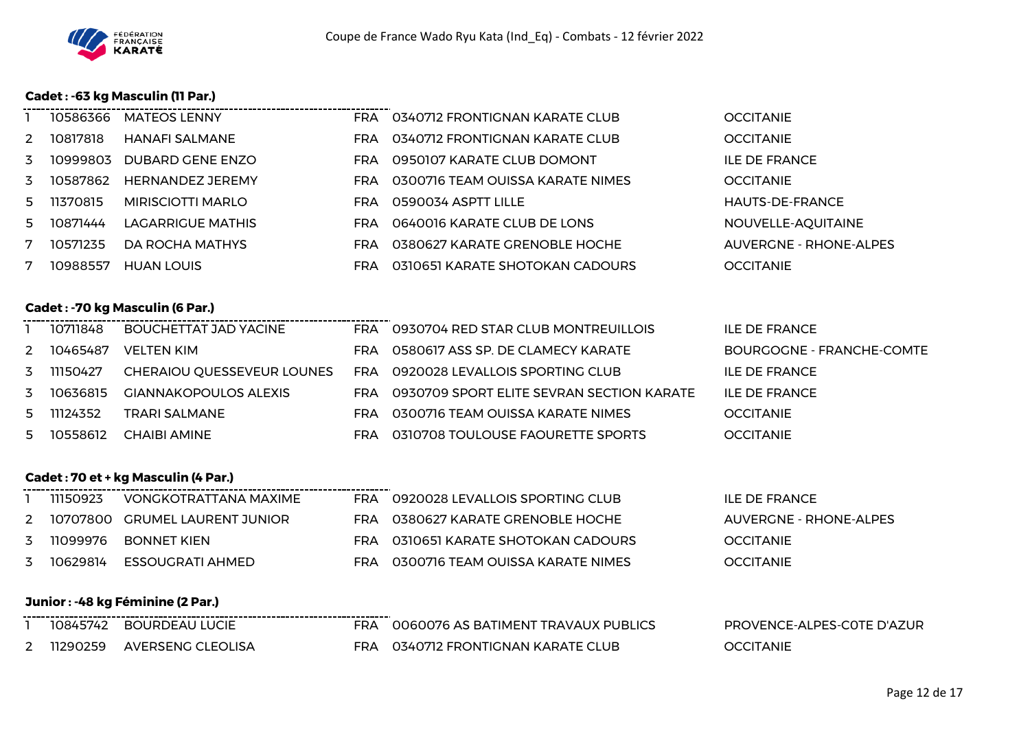

## **Cadet : -63 kg Masculin (11 Par.)**

|               | 10586366 | <b>MATEOS LENNY</b>      | FRA        | 0340712 FRONTIGNAN KARATE CLUB   | <b>OCCITANIE</b>              |
|---------------|----------|--------------------------|------------|----------------------------------|-------------------------------|
| $\mathcal{P}$ | 10817818 | HANAFI SALMANE           | FRA        | 0340712 FRONTIGNAN KARATE CLUB   | <b>OCCITANIE</b>              |
| 3             | 10999803 | DUBARD GENE ENZO         | FRA.       | 0950107 KARATE CLUB DOMONT       | <b>ILE DE FRANCE</b>          |
| 3             | 10587862 | <b>HERNANDEZ JEREMY</b>  | <b>FRA</b> | 0300716 TEAM OUISSA KARATE NIMES | <b>OCCITANIE</b>              |
| 5.            | 11370815 | MIRISCIOTTI MARLO        | FRA        | 0590034 ASPTT LILLE              | HAUTS-DE-FRANCE               |
| 5.            | 10871444 | <b>LAGARRIGUE MATHIS</b> | FRA        | 0640016 KARATE CLUB DE LONS      | NOUVELLE-AQUITAINE            |
|               | 10571235 | DA ROCHA MATHYS          | FRA        | 0380627 KARATE GRENOBLE HOCHE    | <b>AUVERGNE - RHONE-ALPES</b> |
|               | 10988557 | <b>HUAN LOUIS</b>        | FRA        | 0310651 KARATE SHOTOKAN CADOURS  | <b>OCCITANIE</b>              |

## **Cadet : -70 kg Masculin (6 Par.)**

| 10711848   | <b>BOUCHETTAT JAD YACINE</b> | FRA.       | 0930704 RED STAR CLUB MONTREUILLOIS       | <b>ILE DE FRANCE</b>      |
|------------|------------------------------|------------|-------------------------------------------|---------------------------|
| 2 10465487 | VELTEN KIM                   | FRA.       | 0580617 ASS SP. DE CLAMECY KARATE         | BOURGOGNE - FRANCHE-COMTE |
| 3 11150427 | CHERAIOU QUESSEVEUR LOUNES   | <b>FRA</b> | 0920028 LEVALLOIS SPORTING CLUB           | <b>ILE DE FRANCE</b>      |
| 3 10636815 | <b>GIANNAKOPOULOS ALEXIS</b> | FRA        | 0930709 SPORT ELITE SEVRAN SECTION KARATE | ILE DE FRANCE             |
| 5 11124352 | TRARI SALMANE                | FRA        | 0300716 TEAM OUISSA KARATE NIMES          | <b>OCCITANIE</b>          |
| 5 10558612 | CHAIBI AMINE                 | FRA.       | 0310708 TOULOUSE FAOURETTE SPORTS         | <b>OCCITANIE</b>          |

#### **Cadet : 70 et + kg Masculin (4 Par.)**

| 11150923   | VONGKOTRATTANA MAXIME            | FRA | 0920028 LEVALLOIS SPORTING CLUB     | ILE DE FRANCE          |
|------------|----------------------------------|-----|-------------------------------------|------------------------|
|            | 2 10707800 GRUMEL LAURENT JUNIOR |     | FRA 0380627 KARATE GRENOBLE HOCHE   | AUVERGNE - RHONE-ALPES |
|            | 3 11099976 BONNET KIEN           | FRA | -0310651 KARATE SHOTOKAN CADOURS    | <b>OCCITANIE</b>       |
| 3 10629814 | ESSOUGRATI AHMED                 | FRA | – 0300716 TEAM OUISSA KARATE NIMES- | <b>OCCITANIE</b>       |

..................

## **Junior : -48 kg Féminine (2 Par.)**

| ______________<br>10845742 | <b>BOURDEAU LUCIE</b> | 0060076 AS BATIMENT TRAVAUX PUBLICS | PROVENCE-ALPES-COTE D'AZUR |
|----------------------------|-----------------------|-------------------------------------|----------------------------|
| 11290259                   | AVERSENG CLEOLISA     | 0340712 FRONTIGNAN KARATE CLUB      | <b>OCCITANIE</b>           |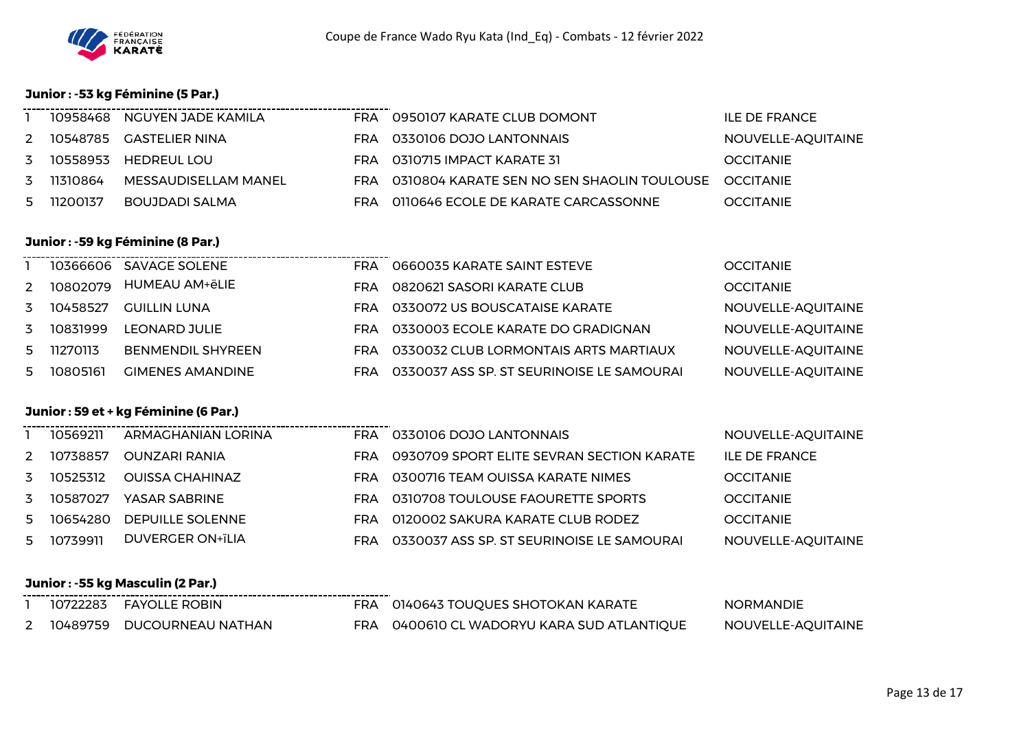

## **Junior : -53 kg Féminine (5 Par.)**

|   |          | 10958468 NGUYEN JADE KAMILA |     | FRA 0950107 KARATE CLUB DOMONT                           | ILE DE FRANCE      |
|---|----------|-----------------------------|-----|----------------------------------------------------------|--------------------|
| 2 |          | 10548785 GASTELIER NINA     |     | FRA 0330106 DOJO LANTONNAIS                              | NOUVELLE-AQUITAINE |
| 3 |          | 10558953 HEDREUL LOU        |     | FRA 0310715 IMPACT KARATE 31                             | <b>OCCITANIE</b>   |
| 3 | 11310864 | MESSAUDISELLAM MANEL        |     | FRA 0310804 KARATE SEN NO SEN SHAOLIN TOULOUSE OCCITANIE |                    |
| 5 | 11200137 | BOUJDADI SALMA              | FRA | 0110646 ECOLE DE KARATE CARCASSONNE                      | <b>OCCITANIE</b>   |

## **Junior : -59 kg Féminine (8 Par.)**

|    |          | 10366606 SAVAGE SOLENE   | FRA | 0660035 KARATE SAINT ESTEVE               | <b>OCCITANIE</b>   |
|----|----------|--------------------------|-----|-------------------------------------------|--------------------|
| 2  | 10802079 | HUMEAU AM+ëLIE           | FRA | 0820621 SASORI KARATE CLUB                | <b>OCCITANIE</b>   |
| 3  | 10458527 | GUILLIN LUNA             | FRA | 0330072 US BOUSCATAISE KARATE             | NOUVELLE-AQUITAINE |
| 3  | 10831999 | <b>LEONARD JULIE</b>     | FRA | 0330003 ECOLE KARATE DO GRADIGNAN         | NOUVELLE-AQUITAINE |
| 5. | 11270113 | <b>BENMENDIL SHYREEN</b> | FRA | 0330032 CLUB LORMONTAIS ARTS MARTIAUX     | NOUVELLE-AQUITAINE |
| 5. | 10805161 | <b>GIMENES AMANDINE</b>  | FRA | 0330037 ASS SP. ST SEURINOISE LE SAMOURAI | NOUVELLE-AQUITAINE |

--------------------------

## **Junior : 59 et + kg Féminine (6 Par.)**

|               | 10569211 | ARMAGHANIAN LORINA      | <b>FRA</b> | 0330106 DOJO LANTONNAIS                   | NOUVELLE-AQUITAINE |
|---------------|----------|-------------------------|------------|-------------------------------------------|--------------------|
| $\mathcal{P}$ | 10738857 | OUNZARI RANIA           | <b>FRA</b> | 0930709 SPORT ELITE SEVRAN SECTION KARATE | ILE DE FRANCE      |
| 3             | 10525312 | OUISSA CHAHINAZ         | FRA        | 0300716 TEAM OUISSA KARATE NIMES          | <b>OCCITANIE</b>   |
| 3             | 10587027 | YASAR SABRINE           | FRA.       | 0310708 TOULOUSE FAOURETTE SPORTS         | <b>OCCITANIE</b>   |
| 5.            | 10654280 | <b>DEPUILLE SOLENNE</b> | FRA        | 0120002 SAKURA KARATE CLUB RODEZ          | <b>OCCITANIE</b>   |
| 5.            | 10739911 | <b>DUVERGER ON+ïLIA</b> | FRA        | 0330037 ASS SP. ST SEURINOISE LE SAMOURAI | NOUVELLE-AQUITAINE |
|               |          |                         |            |                                           |                    |

## **Junior : -55 kg Masculin (2 Par.)**

|  | 10722283 FAYOLLE ROBIN     | FRA 0140643 TOUQUES SHOTOKAN KARATE        | <b>NORMANDIE</b>   |
|--|----------------------------|--------------------------------------------|--------------------|
|  | 10489759 DUCOURNEAU NATHAN | FRA 0400610 CL WADORYU KARA SUD ATLANTIQUE | NOUVELLE-AQUITAINE |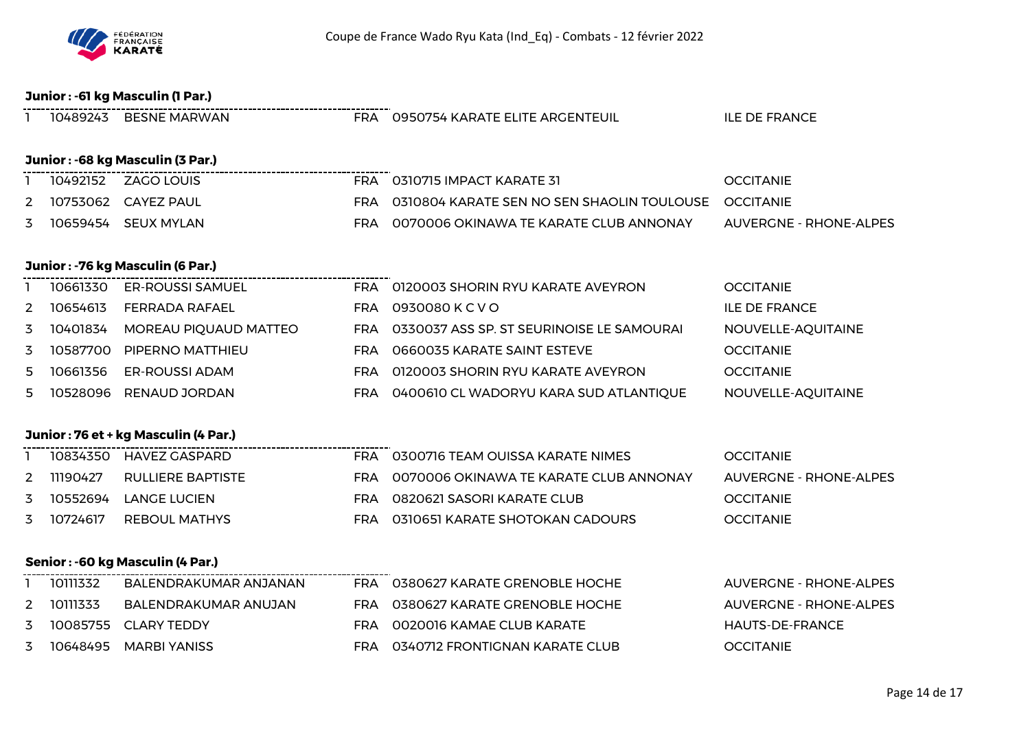

## **Junior : -61 kg Masculin (1 Par.)**

|    |          | 10489243 BESNE MARWAN                                         |            | FRA 0950754 KARATE ELITE ARGENTEUIL            | <b>ILE DE FRANCE</b>          |
|----|----------|---------------------------------------------------------------|------------|------------------------------------------------|-------------------------------|
|    |          | Junior: -68 kg Masculin (3 Par.)                              |            |                                                |                               |
|    |          | --------------------------------------<br>10492152 ZAGO LOUIS |            | FRA 0310715 IMPACT KARATE 31                   | <b>OCCITANIE</b>              |
| 2  |          | 10753062 CAYEZ PAUL                                           |            | FRA 0310804 KARATE SEN NO SEN SHAOLIN TOULOUSE | <b>OCCITANIE</b>              |
| 3  |          | 10659454 SEUX MYLAN                                           | <b>FRA</b> | 0070006 OKINAWA TE KARATE CLUB ANNONAY         | <b>AUVERGNE - RHONE-ALPES</b> |
|    |          | Junior: - 76 kg Masculin (6 Par.)                             |            |                                                |                               |
|    |          | 10661330 ER-ROUSSI SAMUEL                                     |            | FRA 0120003 SHORIN RYU KARATE AVEYRON          | <b>OCCITANIE</b>              |
| 2  |          | 10654613 FERRADA RAFAEL                                       |            | FRA 0930080 KCVO                               | <b>ILE DE FRANCE</b>          |
| 3  |          | 10401834 MOREAU PIQUAUD MATTEO                                |            | FRA 0330037 ASS SP. ST SEURINOISE LE SAMOURAI  | NOUVELLE-AQUITAINE            |
| 3  |          | 10587700 PIPERNO MATTHIEU                                     |            | FRA 0660035 KARATE SAINT ESTEVE                | <b>OCCITANIE</b>              |
| 5  | 10661356 | <b>ER-ROUSSI ADAM</b>                                         | FRA        | 0120003 SHORIN RYU KARATE AVEYRON              | <b>OCCITANIE</b>              |
| 5. |          | 10528096 RENAUD JORDAN                                        |            | FRA 0400610 CL WADORYU KARA SUD ATLANTIQUE     | NOUVELLE-AQUITAINE            |
|    |          | Junior: 76 et + kg Masculin (4 Par.)                          |            |                                                |                               |
|    |          | 10834350 HAVEZ GASPARD                                        |            | FRA 0300716 TEAM OUISSA KARATE NIMES           | <b>OCCITANIE</b>              |
| 2  | 11190427 | <b>RULLIERE BAPTISTE</b>                                      |            | FRA 0070006 OKINAWA TE KARATE CLUB ANNONAY     | <b>AUVERGNE - RHONE-ALPES</b> |
| 3  |          | 10552694 LANGE LUCIEN                                         | <b>FRA</b> | 0820621 SASORI KARATE CLUB                     | <b>OCCITANIE</b>              |
| 3  | 10724617 | <b>REBOUL MATHYS</b>                                          |            | FRA 0310651 KARATE SHOTOKAN CADOURS            | <b>OCCITANIE</b>              |
|    |          | Senior: -60 kg Masculin (4 Par.)                              |            |                                                |                               |
|    | 10111332 | BALENDRAKUMAR ANJANAN                                         |            | FRA 0380627 KARATE GRENOBLE HOCHE              | <b>AUVERGNE - RHONE-ALPES</b> |
| 2  | 10111333 | BALENDRAKUMAR ANUJAN                                          |            | FRA 0380627 KARATE GRENOBLE HOCHE              | <b>AUVERGNE - RHONE-ALPES</b> |
| 3  |          | 10085755 CLARY TEDDY                                          |            | FRA 0020016 KAMAE CLUB KARATE                  | <b>HAUTS-DE-FRANCE</b>        |
| 3  |          | 10648495 MARBI YANISS                                         |            | FRA 0340712 FRONTIGNAN KARATE CLUB             | <b>OCCITANIE</b>              |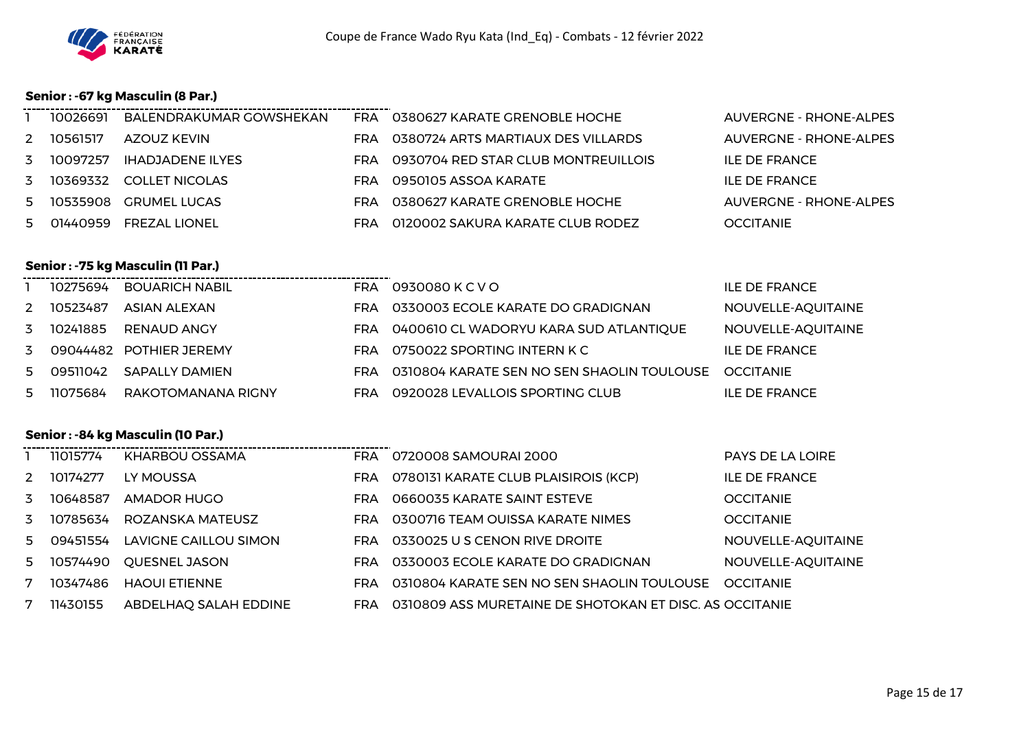

## **Senior : -67 kg Masculin (8 Par.)**

|   | 10026691   | BALENDRAKUMAR GOWSHEKAN  |     | FRA 0380627 KARATE GRENOBLE HOCHE   | AUVERGNE - RHONE-ALPES |
|---|------------|--------------------------|-----|-------------------------------------|------------------------|
| 2 | 10561517   | AZOUZ KEVIN              | FRA | 0380724 ARTS MARTIAUX DES VILLARDS  | AUVERGNE - RHONE-ALPES |
| 3 | 10097257   | <b>IHADJADENE ILYES</b>  | FRA | 0930704 RED STAR CLUB MONTREUILLOIS | ILE DE FRANCE          |
|   | 3 10369332 | <b>COLLET NICOLAS</b>    | FRA | 0950105 ASSOA KARATE                | ILE DE FRANCE          |
|   |            | 5 10535908 GRUMEL LUCAS  |     | FRA 0380627 KARATE GRENOBLE HOCHE   | AUVERGNE - RHONE-ALPES |
|   |            | 5 01440959 FREZAL LIONEL | FRA | 0120002 SAKURA KARATE CLUB RODEZ    | <b>OCCITANIE</b>       |

# **Senior : -75 kg Masculin (11 Par.)**

|    |            | 10275694 BOUARICH NABIL   | FRA        | 0930080 K C V O                            | <b>ILE DE FRANCE</b> |
|----|------------|---------------------------|------------|--------------------------------------------|----------------------|
| 2. | 10523487   | ASIAN ALEXAN              | FRA        | 0330003 ECOLE KARATE DO GRADIGNAN          | NOUVELLE-AQUITAINE   |
|    | 3 10241885 | RENAUD ANGY               | FRA        | 0400610 CL WADORYU KARA SUD ATLANTIQUE     | NOUVELLE-AQUITAINE   |
|    |            | 3 09044482 POTHIER JEREMY | FRA        | 0750022 SPORTING INTERN K C                | ILE DE FRANCE        |
|    |            | SAPALLY DAMIEN            | <b>FRA</b> | 0310804 KARATE SEN NO SEN SHAOLIN TOULOUSE | <b>OCCITANIE</b>     |
|    | 5 11075684 | RAKOTOMANANA RIGNY        | <b>FRA</b> | 0920028 LEVALLOIS SPORTING CLUB            | ILE DE FRANCE        |

#### **Senior : -84 kg Masculin (10 Par.)**

|    | 11015774 | KHARBOU OSSAMA        | FRA        | 0720008 SAMOURAI 2000                                   | <b>PAYS DE LA LOIRE</b> |
|----|----------|-----------------------|------------|---------------------------------------------------------|-------------------------|
| 2  | 10174277 | LY MOUSSA             | FRA        | 0780131 KARATE CLUB PLAISIROIS (KCP)                    | <b>ILE DE FRANCE</b>    |
| 3  | 10648587 | AMADOR HUGO           | <b>FRA</b> | 0660035 KARATE SAINT ESTEVE                             | <b>OCCITANIE</b>        |
| 3  | 10785634 | ROZANSKA MATEUSZ      | <b>FRA</b> | 0300716 TEAM OUISSA KARATE NIMES                        | <b>OCCITANIE</b>        |
| 5. | 09451554 | LAVIGNE CAILLOU SIMON | <b>FRA</b> | 0330025 U S CENON RIVE DROITE                           | NOUVELLE-AQUITAINE      |
| 5  | 10574490 | <b>OUESNEL JASON</b>  | FRA        | 0330003 ECOLE KARATE DO GRADIGNAN                       | NOUVELLE-AQUITAINE      |
| 7  | 10347486 | <b>HAOUL ETIENNE</b>  | FRA        | 0310804 KARATE SEN NO SEN SHAOLIN TOULOUSE              | <b>OCCITANIE</b>        |
| 7  | 11430155 | ABDELHAQ SALAH EDDINE | <b>FRA</b> | 0310809 ASS MURETAINE DE SHOTOKAN ET DISC. AS OCCITANIE |                         |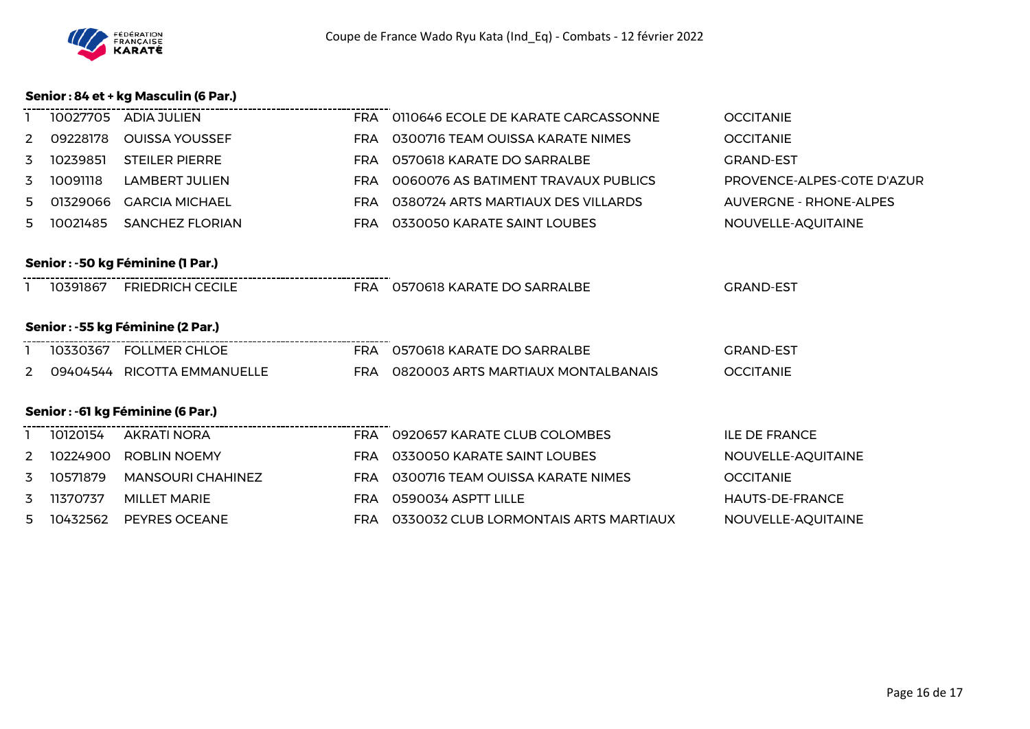

## **Senior : 84 et + kg Masculin (6 Par.)**

|                                          | 10027705 | ADIA JULIEN                 |            | FRA 0110646 ECOLE DE KARATE CARCASSONNE | <b>OCCITANIE</b>              |  |  |
|------------------------------------------|----------|-----------------------------|------------|-----------------------------------------|-------------------------------|--|--|
| 2                                        | 09228178 | <b>OUISSA YOUSSEF</b>       | <b>FRA</b> | 0300716 TEAM OUISSA KARATE NIMES        | <b>OCCITANIE</b>              |  |  |
| 3                                        | 10239851 | <b>STEILER PIERRE</b>       | <b>FRA</b> | 0570618 KARATE DO SARRALBE              | <b>GRAND-EST</b>              |  |  |
| 3                                        | 10091118 | <b>LAMBERT JULIEN</b>       | <b>FRA</b> | 0060076 AS BATIMENT TRAVAUX PUBLICS     | PROVENCE-ALPES-COTE D'AZUR    |  |  |
| 5.                                       | 01329066 | <b>GARCIA MICHAEL</b>       | <b>FRA</b> | 0380724 ARTS MARTIAUX DES VILLARDS      | <b>AUVERGNE - RHONE-ALPES</b> |  |  |
| 5.                                       | 10021485 | <b>SANCHEZ FLORIAN</b>      | <b>FRA</b> | 0330050 KARATE SAINT LOUBES             | NOUVELLE-AQUITAINE            |  |  |
|                                          |          |                             |            |                                         |                               |  |  |
| Senior : -50 kg Féminine (1 Par.)        |          |                             |            |                                         |                               |  |  |
|                                          | 10391867 | <b>FRIEDRICH CECILE</b>     |            | FRA 0570618 KARATE DO SARRALBE          | <b>GRAND-EST</b>              |  |  |
|                                          |          |                             |            |                                         |                               |  |  |
| <b>Senior : -55 kg Féminine (2 Par.)</b> |          |                             |            |                                         |                               |  |  |
|                                          |          | 10330367 FOLLMER CHLOE      |            | FRA 0570618 KARATE DO SARRALBE          | <b>GRAND-EST</b>              |  |  |
| 2                                        |          | 09404544 RICOTTA EMMANUELLE |            | FRA 0820003 ARTS MARTIAUX MONTALBANAIS  | <b>OCCITANIE</b>              |  |  |
|                                          |          |                             |            |                                         |                               |  |  |
| Senior : - 61 kg Féminine (6 Par.)       |          |                             |            |                                         |                               |  |  |
|                                          | 10120154 | <b>AKRATI NORA</b>          |            | FRA 0920657 KARATE CLUB COLOMBES        | <b>ILE DE FRANCE</b>          |  |  |
| 2                                        | 10224900 | ROBLIN NOEMY                | <b>FRA</b> | 0330050 KARATE SAINT LOUBES             | NOUVELLE-AQUITAINE            |  |  |
| 3                                        | 10571879 | <b>MANSOURI CHAHINEZ</b>    | <b>FRA</b> | 0300716 TEAM OUISSA KARATE NIMES        | <b>OCCITANIE</b>              |  |  |
| 3                                        | 11370737 | <b>MILLET MARIE</b>         | <b>FRA</b> | 0590034 ASPTT LILLE                     | <b>HAUTS-DE-FRANCE</b>        |  |  |
| 5.                                       | 10432562 | PEYRES OCEANE               | <b>FRA</b> | 0330032 CLUB LORMONTAIS ARTS MARTIAUX   | NOUVELLE-AQUITAINE            |  |  |